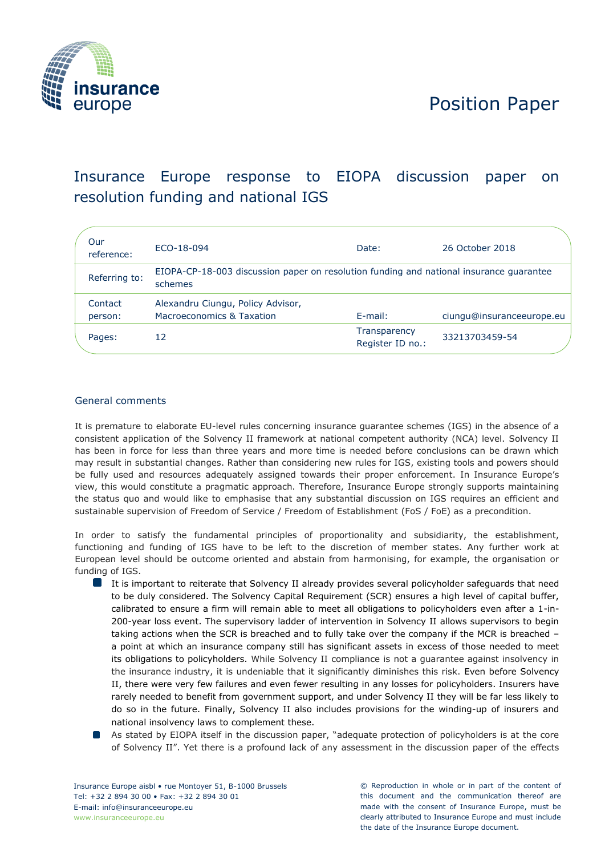

# Position Paper

# Insurance Europe response to EIOPA discussion paper on resolution funding and national IGS

| Our<br>reference:  | ECO-18-094                                                                                         | Date:                            | 26 October 2018           |  |
|--------------------|----------------------------------------------------------------------------------------------------|----------------------------------|---------------------------|--|
| Referring to:      | EIOPA-CP-18-003 discussion paper on resolution funding and national insurance quarantee<br>schemes |                                  |                           |  |
| Contact<br>person: | Alexandru Ciungu, Policy Advisor,<br>Macroeconomics & Taxation                                     | E-mail:                          | ciungu@insuranceeurope.eu |  |
| Pages:             | 12                                                                                                 | Transparency<br>Register ID no.: | 33213703459-54            |  |

## General comments

It is premature to elaborate EU-level rules concerning insurance guarantee schemes (IGS) in the absence of a consistent application of the Solvency II framework at national competent authority (NCA) level. Solvency II has been in force for less than three years and more time is needed before conclusions can be drawn which may result in substantial changes. Rather than considering new rules for IGS, existing tools and powers should be fully used and resources adequately assigned towards their proper enforcement. In Insurance Europe's view, this would constitute a pragmatic approach. Therefore, Insurance Europe strongly supports maintaining the status quo and would like to emphasise that any substantial discussion on IGS requires an efficient and sustainable supervision of Freedom of Service / Freedom of Establishment (FoS / FoE) as a precondition.

In order to satisfy the fundamental principles of proportionality and subsidiarity, the establishment, functioning and funding of IGS have to be left to the discretion of member states. Any further work at European level should be outcome oriented and abstain from harmonising, for example, the organisation or funding of IGS.

- It is important to reiterate that Solvency II already provides several policyholder safeguards that need to be duly considered. The Solvency Capital Requirement (SCR) ensures a high level of capital buffer, calibrated to ensure a firm will remain able to meet all obligations to policyholders even after a 1-in-200-year loss event. The supervisory ladder of intervention in Solvency II allows supervisors to begin taking actions when the SCR is breached and to fully take over the company if the MCR is breached – a point at which an insurance company still has significant assets in excess of those needed to meet its obligations to policyholders. While Solvency II compliance is not a guarantee against insolvency in the insurance industry, it is undeniable that it significantly diminishes this risk. Even before Solvency II, there were very few failures and even fewer resulting in any losses for policyholders. Insurers have rarely needed to benefit from government support, and under Solvency II they will be far less likely to do so in the future. Finally, Solvency II also includes provisions for the winding-up of insurers and national insolvency laws to complement these.
- As stated by EIOPA itself in the discussion paper, "adequate protection of policyholders is at the core of Solvency II". Yet there is a profound lack of any assessment in the discussion paper of the effects

© Reproduction in whole or in part of the content of this document and the communication thereof are made with the consent of Insurance Europe, must be clearly attributed to Insurance Europe and must include the date of the Insurance Europe document.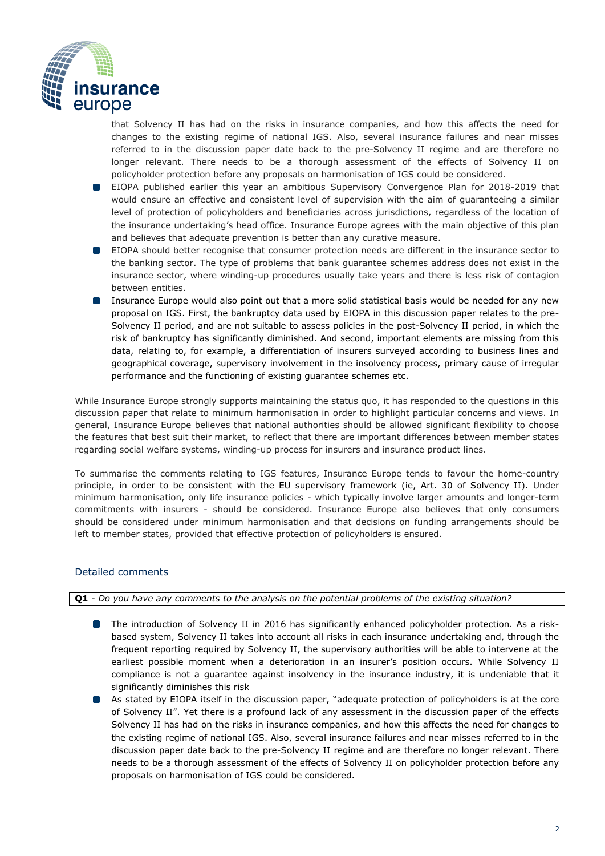

that Solvency II has had on the risks in insurance companies, and how this affects the need for changes to the existing regime of national IGS. Also, several insurance failures and near misses referred to in the discussion paper date back to the pre-Solvency II regime and are therefore no longer relevant. There needs to be a thorough assessment of the effects of Solvency II on policyholder protection before any proposals on harmonisation of IGS could be considered.

- **EIOPA** published earlier this year an ambitious Supervisory Convergence Plan for 2018-2019 that would ensure an effective and consistent level of supervision with the aim of guaranteeing a similar level of protection of policyholders and beneficiaries across jurisdictions, regardless of the location of the insurance undertaking's head office. Insurance Europe agrees with the main objective of this plan and believes that adequate prevention is better than any curative measure.
- $\blacksquare$ EIOPA should better recognise that consumer protection needs are different in the insurance sector to the banking sector. The type of problems that bank guarantee schemes address does not exist in the insurance sector, where winding-up procedures usually take years and there is less risk of contagion between entities.
- $\Box$ Insurance Europe would also point out that a more solid statistical basis would be needed for any new proposal on IGS. First, the bankruptcy data used by EIOPA in this discussion paper relates to the pre-Solvency II period, and are not suitable to assess policies in the post-Solvency II period, in which the risk of bankruptcy has significantly diminished. And second, important elements are missing from this data, relating to, for example, a differentiation of insurers surveyed according to business lines and geographical coverage, supervisory involvement in the insolvency process, primary cause of irregular performance and the functioning of existing guarantee schemes etc.

While Insurance Europe strongly supports maintaining the status quo, it has responded to the questions in this discussion paper that relate to minimum harmonisation in order to highlight particular concerns and views. In general, Insurance Europe believes that national authorities should be allowed significant flexibility to choose the features that best suit their market, to reflect that there are important differences between member states regarding social welfare systems, winding-up process for insurers and insurance product lines.

To summarise the comments relating to IGS features, Insurance Europe tends to favour the home-country principle, in order to be consistent with the EU supervisory framework (ie, Art. 30 of Solvency II). Under minimum harmonisation, only life insurance policies - which typically involve larger amounts and longer-term commitments with insurers - should be considered. Insurance Europe also believes that only consumers should be considered under minimum harmonisation and that decisions on funding arrangements should be left to member states, provided that effective protection of policyholders is ensured.

## Detailed comments

**Q1** - *Do you have any comments to the analysis on the potential problems of the existing situation?*

- The introduction of Solvency II in 2016 has significantly enhanced policyholder protection. As a riskbased system, Solvency II takes into account all risks in each insurance undertaking and, through the frequent reporting required by Solvency II, the supervisory authorities will be able to intervene at the earliest possible moment when a deterioration in an insurer's position occurs. While Solvency II compliance is not a guarantee against insolvency in the insurance industry, it is undeniable that it significantly diminishes this risk
- As stated by EIOPA itself in the discussion paper, "adequate protection of policyholders is at the core of Solvency II". Yet there is a profound lack of any assessment in the discussion paper of the effects Solvency II has had on the risks in insurance companies, and how this affects the need for changes to the existing regime of national IGS. Also, several insurance failures and near misses referred to in the discussion paper date back to the pre-Solvency II regime and are therefore no longer relevant. There needs to be a thorough assessment of the effects of Solvency II on policyholder protection before any proposals on harmonisation of IGS could be considered.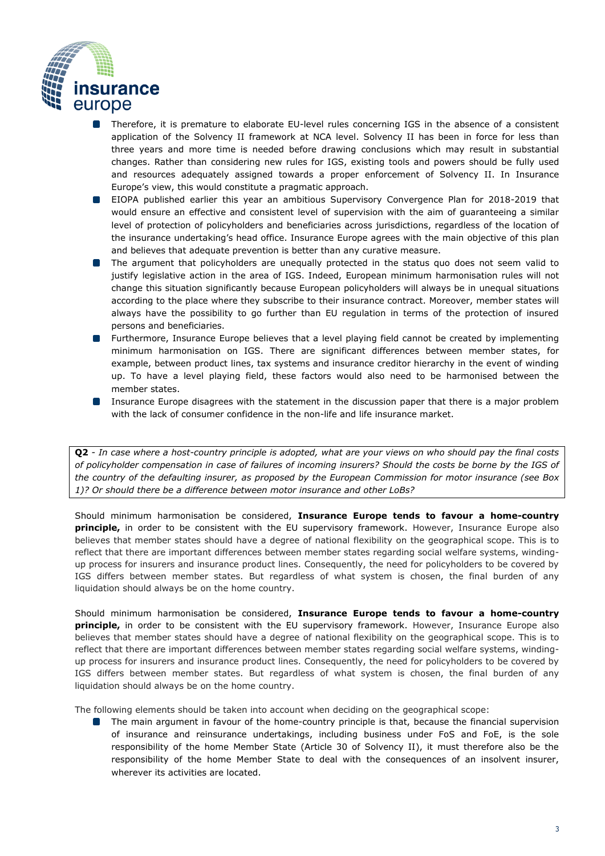

- Therefore, it is premature to elaborate EU-level rules concerning IGS in the absence of a consistent  $\Box$ application of the Solvency II framework at NCA level. Solvency II has been in force for less than three years and more time is needed before drawing conclusions which may result in substantial changes. Rather than considering new rules for IGS, existing tools and powers should be fully used and resources adequately assigned towards a proper enforcement of Solvency II. In Insurance Europe's view, this would constitute a pragmatic approach.
- EIOPA published earlier this year an ambitious Supervisory Convergence Plan for 2018-2019 that would ensure an effective and consistent level of supervision with the aim of guaranteeing a similar level of protection of policyholders and beneficiaries across jurisdictions, regardless of the location of the insurance undertaking's head office. Insurance Europe agrees with the main objective of this plan and believes that adequate prevention is better than any curative measure.
- **The argument that policyholders are unequally protected in the status quo does not seem valid to** justify legislative action in the area of IGS. Indeed, European minimum harmonisation rules will not change this situation significantly because European policyholders will always be in unequal situations according to the place where they subscribe to their insurance contract. Moreover, member states will always have the possibility to go further than EU regulation in terms of the protection of insured persons and beneficiaries.
- **I** Furthermore, Insurance Europe believes that a level playing field cannot be created by implementing minimum harmonisation on IGS. There are significant differences between member states, for example, between product lines, tax systems and insurance creditor hierarchy in the event of winding up. To have a level playing field, these factors would also need to be harmonised between the member states.
- **IDED** Insurance Europe disagrees with the statement in the discussion paper that there is a major problem with the lack of consumer confidence in the non-life and life insurance market.

**Q2** *- In case where a host-country principle is adopted, what are your views on who should pay the final costs of policyholder compensation in case of failures of incoming insurers? Should the costs be borne by the IGS of the country of the defaulting insurer, as proposed by the European Commission for motor insurance (see Box 1)? Or should there be a difference between motor insurance and other LoBs?* 

Should minimum harmonisation be considered, **Insurance Europe tends to favour a home-country principle,** in order to be consistent with the EU supervisory framework. However, Insurance Europe also believes that member states should have a degree of national flexibility on the geographical scope. This is to reflect that there are important differences between member states regarding social welfare systems, windingup process for insurers and insurance product lines. Consequently, the need for policyholders to be covered by IGS differs between member states. But regardless of what system is chosen, the final burden of any liquidation should always be on the home country.

Should minimum harmonisation be considered, **Insurance Europe tends to favour a home-country principle,** in order to be consistent with the EU supervisory framework. However, Insurance Europe also believes that member states should have a degree of national flexibility on the geographical scope. This is to reflect that there are important differences between member states regarding social welfare systems, windingup process for insurers and insurance product lines. Consequently, the need for policyholders to be covered by IGS differs between member states. But regardless of what system is chosen, the final burden of any liquidation should always be on the home country.

The following elements should be taken into account when deciding on the geographical scope:

The main argument in favour of the home-country principle is that, because the financial supervision of insurance and reinsurance undertakings, including business under FoS and FoE, is the sole responsibility of the home Member State (Article 30 of Solvency II), it must therefore also be the responsibility of the home Member State to deal with the consequences of an insolvent insurer, wherever its activities are located.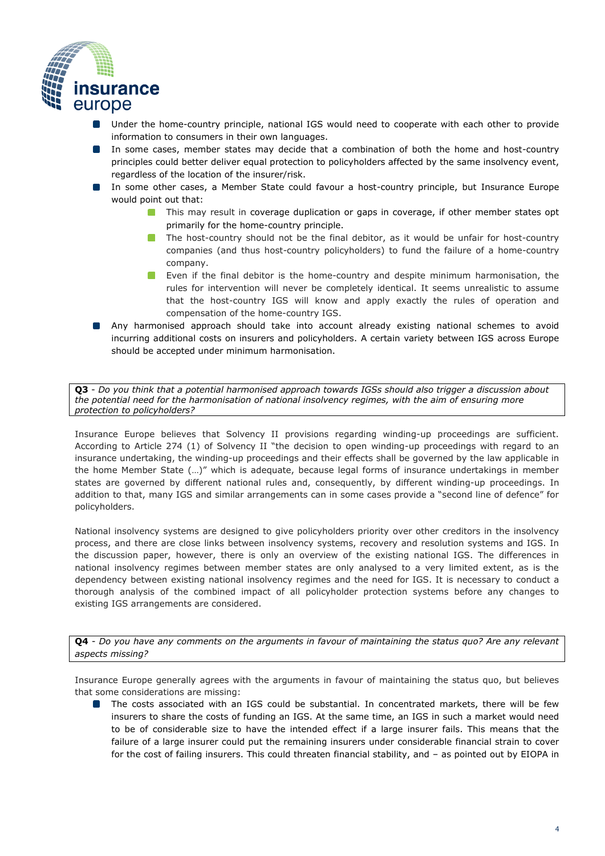

- Under the home-country principle, national IGS would need to cooperate with each other to provide  $\Box$ information to consumers in their own languages.
- In some cases, member states may decide that a combination of both the home and host-country principles could better deliver equal protection to policyholders affected by the same insolvency event, regardless of the location of the insurer/risk.
- In some other cases, a Member State could favour a host-country principle, but Insurance Europe would point out that:
	- **This may result in coverage duplication or gaps in coverage, if other member states opt** primarily for the home-country principle.
	- **The host-country should not be the final debitor, as it would be unfair for host-country** companies (and thus host-country policyholders) to fund the failure of a home-country company.
	- **Exen if the final debitor is the home-country and despite minimum harmonisation, the** rules for intervention will never be completely identical. It seems unrealistic to assume that the host-country IGS will know and apply exactly the rules of operation and compensation of the home-country IGS.
- Any harmonised approach should take into account already existing national schemes to avoid incurring additional costs on insurers and policyholders. A certain variety between IGS across Europe should be accepted under minimum harmonisation.

**Q3** - *Do you think that a potential harmonised approach towards IGSs should also trigger a discussion about the potential need for the harmonisation of national insolvency regimes, with the aim of ensuring more protection to policyholders?* 

Insurance Europe believes that Solvency II provisions regarding winding-up proceedings are sufficient. According to Article 274 (1) of Solvency II "the decision to open winding-up proceedings with regard to an insurance undertaking, the winding-up proceedings and their effects shall be governed by the law applicable in the home Member State (…)" which is adequate, because legal forms of insurance undertakings in member states are governed by different national rules and, consequently, by different winding-up proceedings. In addition to that, many IGS and similar arrangements can in some cases provide a "second line of defence" for policyholders.

National insolvency systems are designed to give policyholders priority over other creditors in the insolvency process, and there are close links between insolvency systems, recovery and resolution systems and IGS. In the discussion paper, however, there is only an overview of the existing national IGS. The differences in national insolvency regimes between member states are only analysed to a very limited extent, as is the dependency between existing national insolvency regimes and the need for IGS. It is necessary to conduct a thorough analysis of the combined impact of all policyholder protection systems before any changes to existing IGS arrangements are considered.

**Q4** - *Do you have any comments on the arguments in favour of maintaining the status quo? Are any relevant aspects missing?* 

Insurance Europe generally agrees with the arguments in favour of maintaining the status quo, but believes that some considerations are missing:

The costs associated with an IGS could be substantial. In concentrated markets, there will be few insurers to share the costs of funding an IGS. At the same time, an IGS in such a market would need to be of considerable size to have the intended effect if a large insurer fails. This means that the failure of a large insurer could put the remaining insurers under considerable financial strain to cover for the cost of failing insurers. This could threaten financial stability, and – as pointed out by EIOPA in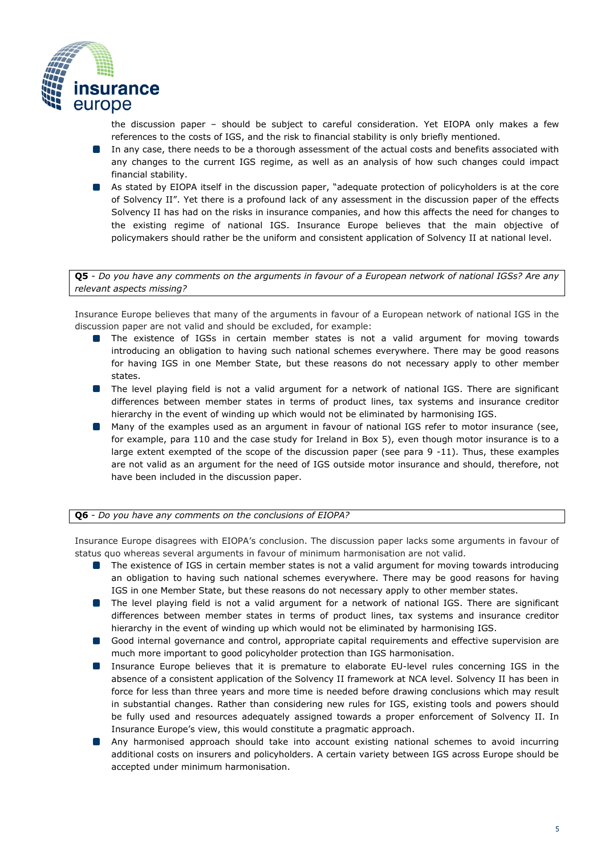

the discussion paper – should be subject to careful consideration. Yet EIOPA only makes a few references to the costs of IGS, and the risk to financial stability is only briefly mentioned.

- **In any case, there needs to be a thorough assessment of the actual costs and benefits associated with** any changes to the current IGS regime, as well as an analysis of how such changes could impact financial stability.
- As stated by EIOPA itself in the discussion paper, "adequate protection of policyholders is at the core of Solvency II". Yet there is a profound lack of any assessment in the discussion paper of the effects Solvency II has had on the risks in insurance companies, and how this affects the need for changes to the existing regime of national IGS. Insurance Europe believes that the main objective of policymakers should rather be the uniform and consistent application of Solvency II at national level.

**Q5** - *Do you have any comments on the arguments in favour of a European network of national IGSs? Are any relevant aspects missing?* 

Insurance Europe believes that many of the arguments in favour of a European network of national IGS in the discussion paper are not valid and should be excluded, for example:

- The existence of IGSs in certain member states is not a valid argument for moving towards introducing an obligation to having such national schemes everywhere. There may be good reasons for having IGS in one Member State, but these reasons do not necessary apply to other member states.
- **ID** The level playing field is not a valid argument for a network of national IGS. There are significant differences between member states in terms of product lines, tax systems and insurance creditor hierarchy in the event of winding up which would not be eliminated by harmonising IGS.
- $\blacksquare$ Many of the examples used as an argument in favour of national IGS refer to motor insurance (see, for example, para 110 and the case study for Ireland in Box 5), even though motor insurance is to a large extent exempted of the scope of the discussion paper (see para 9 -11). Thus, these examples are not valid as an argument for the need of IGS outside motor insurance and should, therefore, not have been included in the discussion paper.

#### **Q6** - *Do you have any comments on the conclusions of EIOPA?*

Insurance Europe disagrees with EIOPA's conclusion. The discussion paper lacks some arguments in favour of status quo whereas several arguments in favour of minimum harmonisation are not valid.

- The existence of IGS in certain member states is not a valid argument for moving towards introducing an obligation to having such national schemes everywhere. There may be good reasons for having IGS in one Member State, but these reasons do not necessary apply to other member states.
- **ID** The level playing field is not a valid argument for a network of national IGS. There are significant differences between member states in terms of product lines, tax systems and insurance creditor hierarchy in the event of winding up which would not be eliminated by harmonising IGS.
- **Good internal governance and control, appropriate capital requirements and effective supervision are** much more important to good policyholder protection than IGS harmonisation.
- **Insurance Europe believes that it is premature to elaborate EU-level rules concerning IGS in the** absence of a consistent application of the Solvency II framework at NCA level. Solvency II has been in force for less than three years and more time is needed before drawing conclusions which may result in substantial changes. Rather than considering new rules for IGS, existing tools and powers should be fully used and resources adequately assigned towards a proper enforcement of Solvency II. In Insurance Europe's view, this would constitute a pragmatic approach.
- Any harmonised approach should take into account existing national schemes to avoid incurring  $\blacksquare$ additional costs on insurers and policyholders. A certain variety between IGS across Europe should be accepted under minimum harmonisation.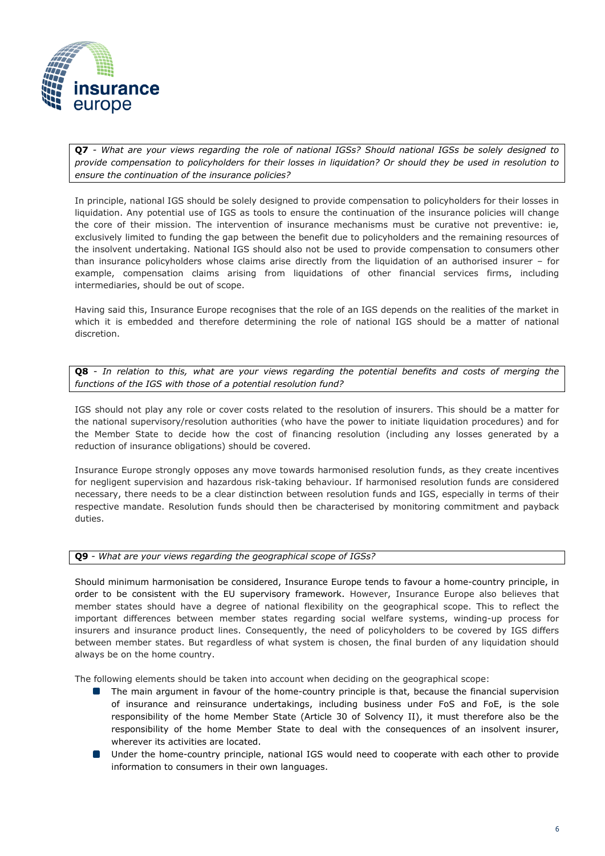

**Q7** *- What are your views regarding the role of national IGSs? Should national IGSs be solely designed to provide compensation to policyholders for their losses in liquidation? Or should they be used in resolution to ensure the continuation of the insurance policies?* 

In principle, national IGS should be solely designed to provide compensation to policyholders for their losses in liquidation. Any potential use of IGS as tools to ensure the continuation of the insurance policies will change the core of their mission. The intervention of insurance mechanisms must be curative not preventive: ie, exclusively limited to funding the gap between the benefit due to policyholders and the remaining resources of the insolvent undertaking. National IGS should also not be used to provide compensation to consumers other than insurance policyholders whose claims arise directly from the liquidation of an authorised insurer – for example, compensation claims arising from liquidations of other financial services firms, including intermediaries, should be out of scope.

Having said this, Insurance Europe recognises that the role of an IGS depends on the realities of the market in which it is embedded and therefore determining the role of national IGS should be a matter of national discretion.

**Q8** - *In relation to this, what are your views regarding the potential benefits and costs of merging the functions of the IGS with those of a potential resolution fund?* 

IGS should not play any role or cover costs related to the resolution of insurers. This should be a matter for the national supervisory/resolution authorities (who have the power to initiate liquidation procedures) and for the Member State to decide how the cost of financing resolution (including any losses generated by a reduction of insurance obligations) should be covered.

Insurance Europe strongly opposes any move towards harmonised resolution funds, as they create incentives for negligent supervision and hazardous risk-taking behaviour. If harmonised resolution funds are considered necessary, there needs to be a clear distinction between resolution funds and IGS, especially in terms of their respective mandate. Resolution funds should then be characterised by monitoring commitment and payback duties.

#### **Q9** *- What are your views regarding the geographical scope of IGSs?*

Should minimum harmonisation be considered, Insurance Europe tends to favour a home-country principle, in order to be consistent with the EU supervisory framework. However, Insurance Europe also believes that member states should have a degree of national flexibility on the geographical scope. This to reflect the important differences between member states regarding social welfare systems, winding-up process for insurers and insurance product lines. Consequently, the need of policyholders to be covered by IGS differs between member states. But regardless of what system is chosen, the final burden of any liquidation should always be on the home country.

The following elements should be taken into account when deciding on the geographical scope:

- The main argument in favour of the home-country principle is that, because the financial supervision of insurance and reinsurance undertakings, including business under FoS and FoE, is the sole responsibility of the home Member State (Article 30 of Solvency II), it must therefore also be the responsibility of the home Member State to deal with the consequences of an insolvent insurer, wherever its activities are located.
- **ID** Under the home-country principle, national IGS would need to cooperate with each other to provide information to consumers in their own languages.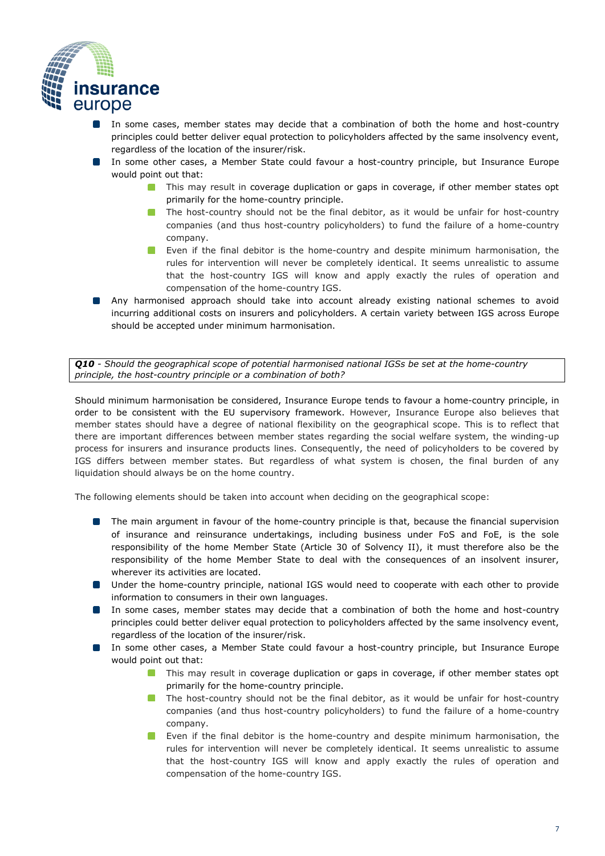

- In some cases, member states may decide that a combination of both the home and host-country  $\Box$ principles could better deliver equal protection to policyholders affected by the same insolvency event, regardless of the location of the insurer/risk.
- In some other cases, a Member State could favour a host-country principle, but Insurance Europe would point out that:
	- **This may result in coverage duplication or gaps in coverage, if other member states opt** primarily for the home-country principle.
	- **The host-country should not be the final debitor, as it would be unfair for host-country** companies (and thus host-country policyholders) to fund the failure of a home-country company.
	- Even if the final debitor is the home-country and despite minimum harmonisation, the rules for intervention will never be completely identical. It seems unrealistic to assume that the host-country IGS will know and apply exactly the rules of operation and compensation of the home-country IGS.
- Any harmonised approach should take into account already existing national schemes to avoid incurring additional costs on insurers and policyholders. A certain variety between IGS across Europe should be accepted under minimum harmonisation.

*Q10 - Should the geographical scope of potential harmonised national IGSs be set at the home-country principle, the host-country principle or a combination of both?* 

Should minimum harmonisation be considered, Insurance Europe tends to favour a home-country principle, in order to be consistent with the EU supervisory framework. However, Insurance Europe also believes that member states should have a degree of national flexibility on the geographical scope. This is to reflect that there are important differences between member states regarding the social welfare system, the winding-up process for insurers and insurance products lines. Consequently, the need of policyholders to be covered by IGS differs between member states. But regardless of what system is chosen, the final burden of any liquidation should always be on the home country.

The following elements should be taken into account when deciding on the geographical scope:

- **The main argument in favour of the home-country principle is that, because the financial supervision** of insurance and reinsurance undertakings, including business under FoS and FoE, is the sole responsibility of the home Member State (Article 30 of Solvency II), it must therefore also be the responsibility of the home Member State to deal with the consequences of an insolvent insurer, wherever its activities are located.
- Under the home-country principle, national IGS would need to cooperate with each other to provide information to consumers in their own languages.
- In some cases, member states may decide that a combination of both the home and host-country principles could better deliver equal protection to policyholders affected by the same insolvency event, regardless of the location of the insurer/risk.
- In some other cases, a Member State could favour a host-country principle, but Insurance Europe would point out that:
	- **This may result in coverage duplication or gaps in coverage, if other member states opt** primarily for the home-country principle.
	- The host-country should not be the final debitor, as it would be unfair for host-country companies (and thus host-country policyholders) to fund the failure of a home-country company.
	- Even if the final debitor is the home-country and despite minimum harmonisation, the rules for intervention will never be completely identical. It seems unrealistic to assume that the host-country IGS will know and apply exactly the rules of operation and compensation of the home-country IGS.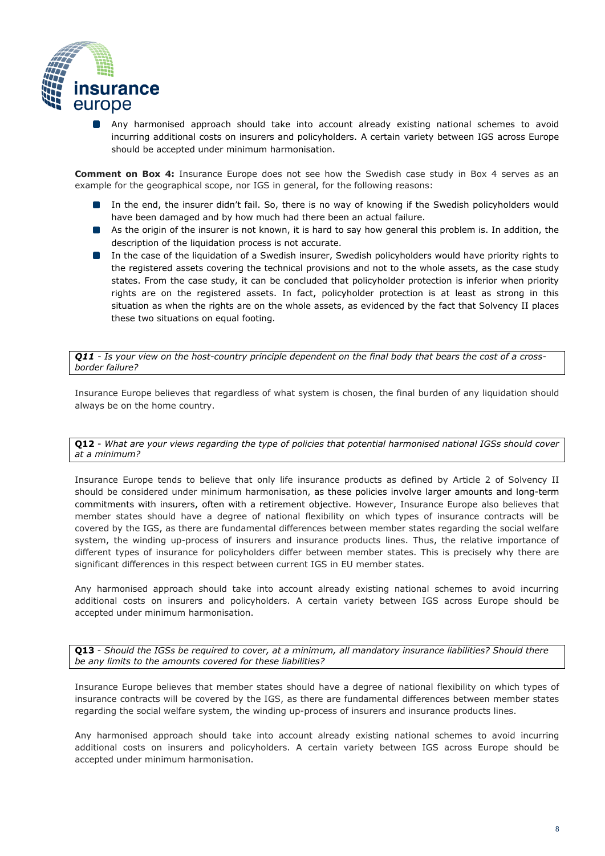

Any harmonised approach should take into account already existing national schemes to avoid  $\Box$ incurring additional costs on insurers and policyholders. A certain variety between IGS across Europe should be accepted under minimum harmonisation.

**Comment on Box 4:** Insurance Europe does not see how the Swedish case study in Box 4 serves as an example for the geographical scope, nor IGS in general, for the following reasons:

- In the end, the insurer didn't fail. So, there is no way of knowing if the Swedish policyholders would have been damaged and by how much had there been an actual failure.
- As the origin of the insurer is not known, it is hard to say how general this problem is. In addition, the description of the liquidation process is not accurate.
- In the case of the liquidation of a Swedish insurer, Swedish policyholders would have priority rights to the registered assets covering the technical provisions and not to the whole assets, as the case study states. From the case study, it can be concluded that policyholder protection is inferior when priority rights are on the registered assets. In fact, policyholder protection is at least as strong in this situation as when the rights are on the whole assets, as evidenced by the fact that Solvency II places these two situations on equal footing.

*Q11 - Is your view on the host-country principle dependent on the final body that bears the cost of a crossborder failure?* 

Insurance Europe believes that regardless of what system is chosen, the final burden of any liquidation should always be on the home country.

#### **Q12** - *What are your views regarding the type of policies that potential harmonised national IGSs should cover at a minimum?*

Insurance Europe tends to believe that only life insurance products as defined by Article 2 of Solvency II should be considered under minimum harmonisation, as these policies involve larger amounts and long-term commitments with insurers, often with a retirement objective. However, Insurance Europe also believes that member states should have a degree of national flexibility on which types of insurance contracts will be covered by the IGS, as there are fundamental differences between member states regarding the social welfare system, the winding up-process of insurers and insurance products lines. Thus, the relative importance of different types of insurance for policyholders differ between member states. This is precisely why there are significant differences in this respect between current IGS in EU member states.

Any harmonised approach should take into account already existing national schemes to avoid incurring additional costs on insurers and policyholders. A certain variety between IGS across Europe should be accepted under minimum harmonisation.

**Q13** - *Should the IGSs be required to cover, at a minimum, all mandatory insurance liabilities? Should there be any limits to the amounts covered for these liabilities?* 

Insurance Europe believes that member states should have a degree of national flexibility on which types of insurance contracts will be covered by the IGS, as there are fundamental differences between member states regarding the social welfare system, the winding up-process of insurers and insurance products lines.

Any harmonised approach should take into account already existing national schemes to avoid incurring additional costs on insurers and policyholders. A certain variety between IGS across Europe should be accepted under minimum harmonisation.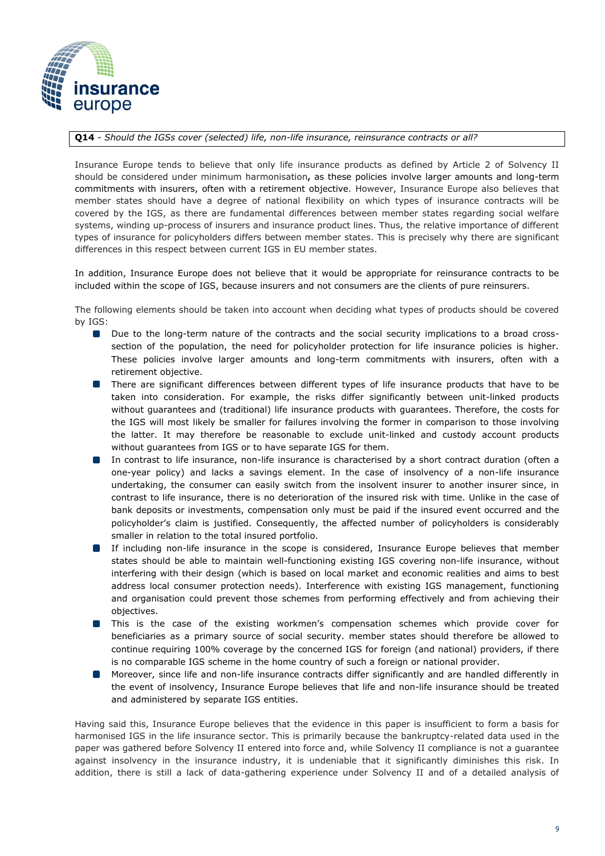

#### **Q14** *- Should the IGSs cover (selected) life, non-life insurance, reinsurance contracts or all?*

Insurance Europe tends to believe that only life insurance products as defined by Article 2 of Solvency II should be considered under minimum harmonisation**,** as these policies involve larger amounts and long-term commitments with insurers, often with a retirement objective. However, Insurance Europe also believes that member states should have a degree of national flexibility on which types of insurance contracts will be covered by the IGS, as there are fundamental differences between member states regarding social welfare systems, winding up-process of insurers and insurance product lines. Thus, the relative importance of different types of insurance for policyholders differs between member states. This is precisely why there are significant differences in this respect between current IGS in EU member states.

In addition, Insurance Europe does not believe that it would be appropriate for reinsurance contracts to be included within the scope of IGS, because insurers and not consumers are the clients of pure reinsurers.

The following elements should be taken into account when deciding what types of products should be covered by IGS:

- Due to the long-term nature of the contracts and the social security implications to a broad crosssection of the population, the need for policyholder protection for life insurance policies is higher. These policies involve larger amounts and long-term commitments with insurers, often with a retirement objective.
- **There are significant differences between different types of life insurance products that have to be** taken into consideration. For example, the risks differ significantly between unit-linked products without guarantees and (traditional) life insurance products with guarantees. Therefore, the costs for the IGS will most likely be smaller for failures involving the former in comparison to those involving the latter. It may therefore be reasonable to exclude unit-linked and custody account products without guarantees from IGS or to have separate IGS for them.
- In contrast to life insurance, non-life insurance is characterised by a short contract duration (often a one-year policy) and lacks a savings element. In the case of insolvency of a non-life insurance undertaking, the consumer can easily switch from the insolvent insurer to another insurer since, in contrast to life insurance, there is no deterioration of the insured risk with time. Unlike in the case of bank deposits or investments, compensation only must be paid if the insured event occurred and the policyholder's claim is justified. Consequently, the affected number of policyholders is considerably smaller in relation to the total insured portfolio.
- If including non-life insurance in the scope is considered, Insurance Europe believes that member states should be able to maintain well-functioning existing IGS covering non-life insurance, without interfering with their design (which is based on local market and economic realities and aims to best address local consumer protection needs). Interference with existing IGS management, functioning and organisation could prevent those schemes from performing effectively and from achieving their objectives.
- **If** This is the case of the existing workmen's compensation schemes which provide cover for beneficiaries as a primary source of social security. member states should therefore be allowed to continue requiring 100% coverage by the concerned IGS for foreign (and national) providers, if there is no comparable IGS scheme in the home country of such a foreign or national provider.
- Moreover, since life and non-life insurance contracts differ significantly and are handled differently in  $\mathcal{L}(\mathcal{L})$ the event of insolvency, Insurance Europe believes that life and non-life insurance should be treated and administered by separate IGS entities.

Having said this, Insurance Europe believes that the evidence in this paper is insufficient to form a basis for harmonised IGS in the life insurance sector. This is primarily because the bankruptcy-related data used in the paper was gathered before Solvency II entered into force and, while Solvency II compliance is not a guarantee against insolvency in the insurance industry, it is undeniable that it significantly diminishes this risk. In addition, there is still a lack of data-gathering experience under Solvency II and of a detailed analysis of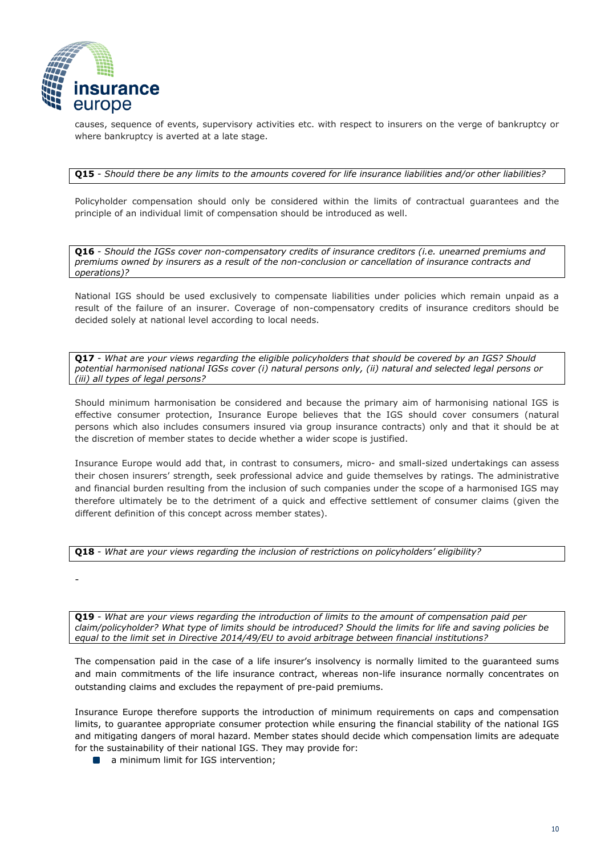

-

causes, sequence of events, supervisory activities etc. with respect to insurers on the verge of bankruptcy or where bankruptcy is averted at a late stage.

#### **Q15** - *Should there be any limits to the amounts covered for life insurance liabilities and/or other liabilities?*

Policyholder compensation should only be considered within the limits of contractual guarantees and the principle of an individual limit of compensation should be introduced as well.

**Q16** - *Should the IGSs cover non-compensatory credits of insurance creditors (i.e. unearned premiums and premiums owned by insurers as a result of the non-conclusion or cancellation of insurance contracts and operations)?* 

National IGS should be used exclusively to compensate liabilities under policies which remain unpaid as a result of the failure of an insurer. Coverage of non-compensatory credits of insurance creditors should be decided solely at national level according to local needs.

**Q17** - *What are your views regarding the eligible policyholders that should be covered by an IGS? Should potential harmonised national IGSs cover (i) natural persons only, (ii) natural and selected legal persons or (iii) all types of legal persons?* 

Should minimum harmonisation be considered and because the primary aim of harmonising national IGS is effective consumer protection, Insurance Europe believes that the IGS should cover consumers (natural persons which also includes consumers insured via group insurance contracts) only and that it should be at the discretion of member states to decide whether a wider scope is justified.

Insurance Europe would add that, in contrast to consumers, micro- and small-sized undertakings can assess their chosen insurers' strength, seek professional advice and guide themselves by ratings. The administrative and financial burden resulting from the inclusion of such companies under the scope of a harmonised IGS may therefore ultimately be to the detriment of a quick and effective settlement of consumer claims (given the different definition of this concept across member states).

|  |  |  |  | Q18 - What are your views regarding the inclusion of restrictions on policyholders' eligibility? |
|--|--|--|--|--------------------------------------------------------------------------------------------------|
|--|--|--|--|--------------------------------------------------------------------------------------------------|

**Q19** - *What are your views regarding the introduction of limits to the amount of compensation paid per claim/policyholder? What type of limits should be introduced? Should the limits for life and saving policies be equal to the limit set in Directive 2014/49/EU to avoid arbitrage between financial institutions?* 

The compensation paid in the case of a life insurer's insolvency is normally limited to the guaranteed sums and main commitments of the life insurance contract, whereas non-life insurance normally concentrates on outstanding claims and excludes the repayment of pre-paid premiums.

Insurance Europe therefore supports the introduction of minimum requirements on caps and compensation limits, to guarantee appropriate consumer protection while ensuring the financial stability of the national IGS and mitigating dangers of moral hazard. Member states should decide which compensation limits are adequate for the sustainability of their national IGS. They may provide for:

**a** minimum limit for IGS intervention;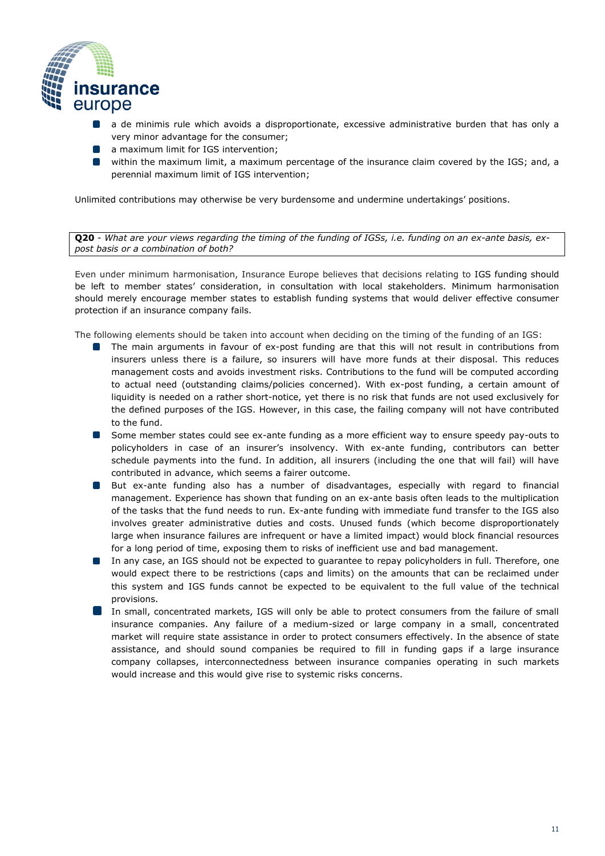

- a de minimis rule which avoids a disproportionate, excessive administrative burden that has only a  $\Box$ very minor advantage for the consumer;
- **a** maximum limit for IGS intervention;
- within the maximum limit, a maximum percentage of the insurance claim covered by the IGS; and, a perennial maximum limit of IGS intervention;

Unlimited contributions may otherwise be very burdensome and undermine undertakings' positions.

**Q20** - *What are your views regarding the timing of the funding of IGSs, i.e. funding on an ex-ante basis, expost basis or a combination of both?* 

Even under minimum harmonisation, Insurance Europe believes that decisions relating to IGS funding should be left to member states' consideration, in consultation with local stakeholders. Minimum harmonisation should merely encourage member states to establish funding systems that would deliver effective consumer protection if an insurance company fails.

The following elements should be taken into account when deciding on the timing of the funding of an IGS:

- The main arguments in favour of ex-post funding are that this will not result in contributions from insurers unless there is a failure, so insurers will have more funds at their disposal. This reduces management costs and avoids investment risks. Contributions to the fund will be computed according to actual need (outstanding claims/policies concerned). With ex-post funding, a certain amount of liquidity is needed on a rather short-notice, yet there is no risk that funds are not used exclusively for the defined purposes of the IGS. However, in this case, the failing company will not have contributed to the fund.
- **Some member states could see ex-ante funding as a more efficient way to ensure speedy pay-outs to** policyholders in case of an insurer's insolvency. With ex-ante funding, contributors can better schedule payments into the fund. In addition, all insurers (including the one that will fail) will have contributed in advance, which seems a fairer outcome.
- **But ex-ante funding also has a number of disadvantages, especially with regard to financial** management. Experience has shown that funding on an ex-ante basis often leads to the multiplication of the tasks that the fund needs to run. Ex-ante funding with immediate fund transfer to the IGS also involves greater administrative duties and costs. Unused funds (which become disproportionately large when insurance failures are infrequent or have a limited impact) would block financial resources for a long period of time, exposing them to risks of inefficient use and bad management.
- In any case, an IGS should not be expected to guarantee to repay policyholders in full. Therefore, one would expect there to be restrictions (caps and limits) on the amounts that can be reclaimed under this system and IGS funds cannot be expected to be equivalent to the full value of the technical provisions.
- In small, concentrated markets, IGS will only be able to protect consumers from the failure of small insurance companies. Any failure of a medium-sized or large company in a small, concentrated market will require state assistance in order to protect consumers effectively. In the absence of state assistance, and should sound companies be required to fill in funding gaps if a large insurance company collapses, interconnectedness between insurance companies operating in such markets would increase and this would give rise to systemic risks concerns.